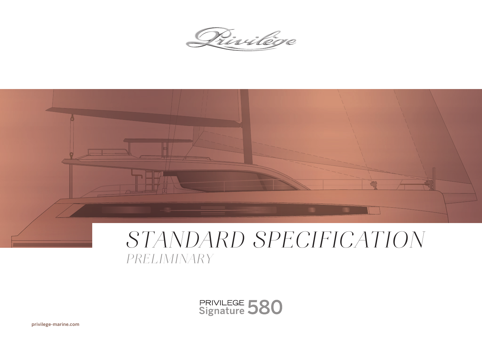Privilége



# *STANDARD SPECIFICATION PRELIMINARY*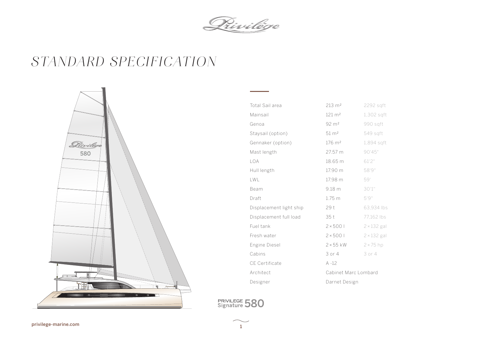Privilége

## *STANDARD SPECIFICATION*



| Total Sail area         | $213 \; \text{m}^2$  | 2292 sqft          |
|-------------------------|----------------------|--------------------|
| Mainsail                | $121 \text{ m}^2$    | $1,302$ sqft       |
| Genoa                   | $92 \, \text{m}^2$   | 990 sqft           |
| Staysail (option)       | $51 \text{ m}^2$     | 549 sqft           |
| Gennaker (option)       | 176 m <sup>2</sup>   | 1,894 sqft         |
| Mast length             | 27.57 m              | 90'45"             |
| LOA                     | 18.65 m              | 61'2''             |
| Hull length             | 17.90 m              | 58'9"              |
| LWL                     | 17.98 m              | 59'                |
| Beam                    | 9.18 <sub>m</sub>    | 30'1''             |
| Draft                   | $1.75 \text{ m}$     | 5'9"               |
| Displacement light ship | 29 t                 | 63,934 lbs         |
| Displacement full load  | 35 t                 | 77,162 lbs         |
| Fuel tank               | 2 × 5001             | $2 \times 132$ gal |
| Fresh water             | 2 × 5001             | $2 \times 132$ gal |
| Engine Diesel           | $2 \times 55$ kW     | $2 \times 75$ hp   |
| Cabins                  | 3 or 4               | 3 or 4             |
| <b>CE Certificate</b>   | $A - 12$             |                    |
| Architect               | Cabinet Marc Lombard |                    |
| Designer                | Darnet Design        |                    |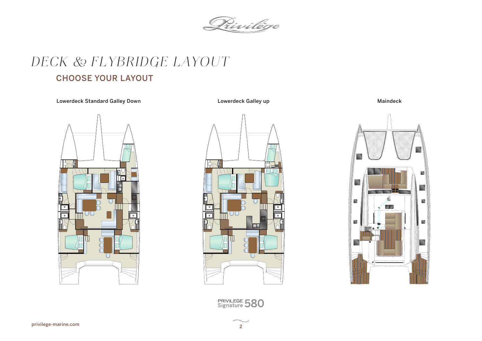Privilège

# *DECK & FLYBRIDGE LAYOUT*

### CHOOSE YOUR LAYOUT

Lowerdeck Standard Galley Down **National Convertional Lowerdeck Galley up** Cowerdeck Galley up Maindeck





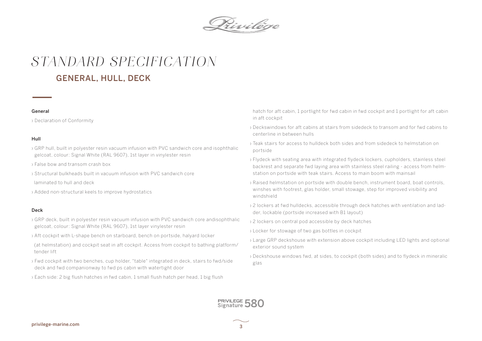Privilége

### GENERAL, HULL, DECK *STANDARD SPECIFICATION*

#### General

› Declaration of Conformity

#### Hull

- › GRP hull, built in polyester resin vacuum infusion with PVC sandwich core and isophthalic gelcoat, colour: Signal White (RAL 9607), 1st layer in vinylester resin
- › False bow and transom crash box
- › Structural bulkheads built in vacuum infusion with PVC sandwich core
- laminated to hull and deck
- › Added non-structural keels to improve hydrostatics

#### Deck

- › GRP deck, built in polyester resin vacuum infusion with PVC sandwich core andisophthalic gelcoat, colour: Signal White (RAL 9607), 1st layer vinylester resin
- › Aft cockpit with L-shape bench on starboard, bench on portside, halyard locker
- (at helmstation) and cockpit seat in aft cockpit. Access from cockpit to bathing platform/ tender lift
- › Fwd cockpit with two benches, cup holder, "table" integrated in deck, stairs to fwd/side deck and fwd companionway to fwd ps cabin with watertight door
- › Each side: 2 big flush hatches in fwd cabin, 1 small flush hatch per head, 1 big flush

hatch for aft cabin, 1 portlight for fwd cabin in fwd cockpit and 1 portlight for aft cabin in aft cockpit

- › Deckswindows for aft cabins at stairs from sidedeck to transom and for fwd cabins to centerline in between hulls
- › Teak stairs for access to hulldeck both sides and from sidedeck to helmstation on portside
- › Flydeck with seating area with integrated flydeck lockers, cupholders, stainless steel backrest and separate fwd laying area with stainless steel railing - access from helmstation on portside with teak stairs. Access to main boom with mainsail
- › Raised helmstation on portside with double bench, instrument board, boat controls, winshes with footrest, glas holder, small stowage, step for improved visibility and windshield
- › 2 lockers at fwd hulldecks, accessible through deck hatches with ventilation and ladder, lockable (portside increased with B1 layout)
- › 2 lockers on central pod accessible by deck hatches
- › Locker for stowage of two gas bottles in cockpit
- › Large GRP deckshouse with extension above cockpit including LED lights and optional exterior sound system
- › Deckshouse windows fwd, at sides, to cockpit (both sides) and to flydeck in mineralic glas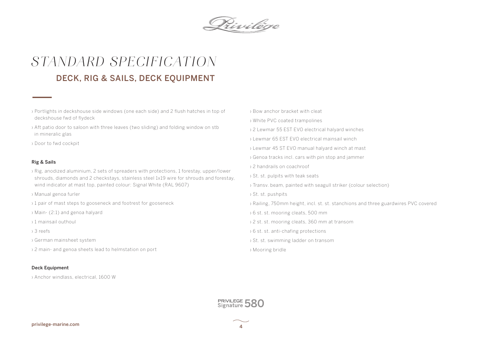

## DECK, RIG & SAILS, DECK EQUIPMENT *STANDARD SPECIFICATION*

- › Portlights in deckshouse side windows (one each side) and 2 flush hatches in top of deckshouse fwd of flydeck
- › Aft patio door to saloon with three leaves (two sliding) and folding window on stb in mineralic glas
- › Door to fwd cockpit

#### Rig & Sails

- › Rig, anodized aluminium, 2 sets of spreaders with protections, 1 forestay, upper/lower shrouds, diamonds and 2 checkstays, stainless steel 1x19 wire for shrouds and forestay, wind indicator at mast top, painted colour: Signal White (RAL 9607)
- › Manual genoa furler
- <sup>1</sup> 1 pair of mast steps to gooseneck and footrest for gooseneck
- › Main- (2:1) and genoa halyard
- › 1 mainsail outhoul
- › 3 reefs
- › German mainsheet system
- › 2 main- and genoa sheets lead to helmstation on port

#### Deck Equipment

› Anchor windlass, electrical, 1600 W

- › Bow anchor bracket with cleat
- › White PVC coated trampolines
- › 2 Lewmar 55 EST EVO electrical halyard winches
- › Lewmar 65 EST EVO electrical mainsail winch
- › Lewmar 45 ST EVO manual halyard winch at mast
- › Genoa tracks incl. cars with pin stop and jammer
- › 2 handrails on coachroof
- › St. st. pulpits with teak seats
- › Transv. beam, painted with seagull striker (colour selection)
- › St. st. pushpits
- › Railing, 750mm height, incl. st. st. stanchions and three guardwires PVC covered
- › 6 st. st. mooring cleats, 500 mm
- › 2 st. st. mooring cleats, 360 mm at transom
- › 6 st. st. anti-chafing protections
- › St. st. swimming ladder on transom
- › Mooring bridle

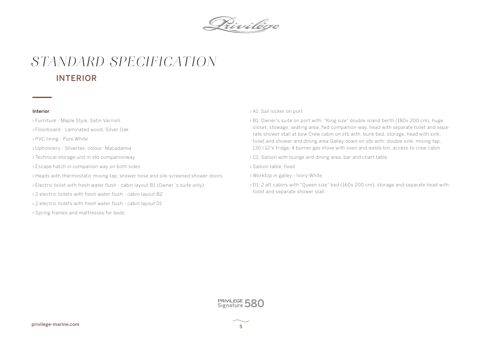

### INTERIOR *STANDARD SPECIFICATION*

#### Interior

- › Furniture Maple Style, Satin Varnish
- › Floorboard Laminated wood, Silver Oak
- › PVC lining Pure White
- › Upholstery Silvertex, colour: Macadamia
- › Technical storage unit in stb companionway
- › Escape hatch in companion way on both sides
- › Heads with thermostatic mixing tap, shower hose and silk-screened shower doors
- › Electric toilet with fresh water flush cabin layout B1 (Owner´s suite only)
- › 2 electric toilets with fresh water flush cabin layout B2
- › 2 electric toilets with fresh water flush cabin layout D1
- › Spring frames and mattresses for beds

#### › A1: Sail locker on port

› B1: Owner's suite on port with: "King size" double island berth (180x 200 cm), huge closet, stowage, seating area, fwd companion-way, head with separate toilet and separate shower stall at bow Crew cabin on stb with: bunk bed, storage, head with sink, toilet and shower and dining area Galley down on stb with: double sink, mixing tap, 130 l 12 V fridge, 4 burner gas stove with oven and waste bin, access to crew cabin

› C1: Saloon with lounge and dining area, bar and chart table

› Saloon table, fixed

- › Worktop in galley Ivory White
- › D1: 2 aft cabins with "Queen size" bed (160x 200 cm), storage and separate head with toilet and separate shower stall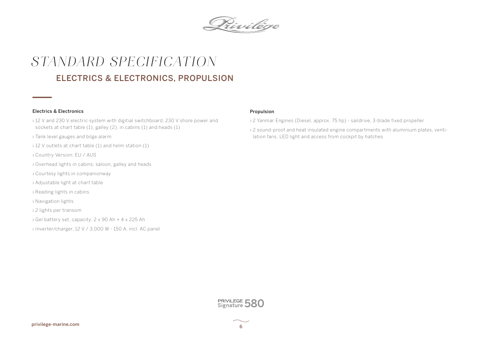

## ELECTRICS & ELECTRONICS, PROPULSION *STANDARD SPECIFICATION*

#### Electrics & Electronics

- › 12 V and 230 V electric system with digitial switchboard, 230 V shore power and sockets at chart table (1), galley (2), in cabins (1) and heads (1)
- › Tank level gauges and bilge alarm
- › 12 V outlets at chart table (1) and helm station (1)
- › Country Version: EU / AUS
- › Overhead lights in cabins, saloon, galley and heads
- › Courtesy lights in companionway
- › Adjustable light at chart table
- › Reading lights in cabins
- › Navigation lights
- › 2 lights per transom
- › Gel battery set, capacity: 2 x 90 Ah + 4 x 225 Ah
- › Inverter/charger, 12 V / 3.000 W 150 A, incl. AC panel

#### Propulsion

- › 2 Yanmar Engines (Diesel, approx. 75 hp) saildrive, 3-blade fixed propeller
- › 2 sound-proof and heat insulated engine compartments with aluminium plates, ventilation fans, LED light and access from cockpit by hatches